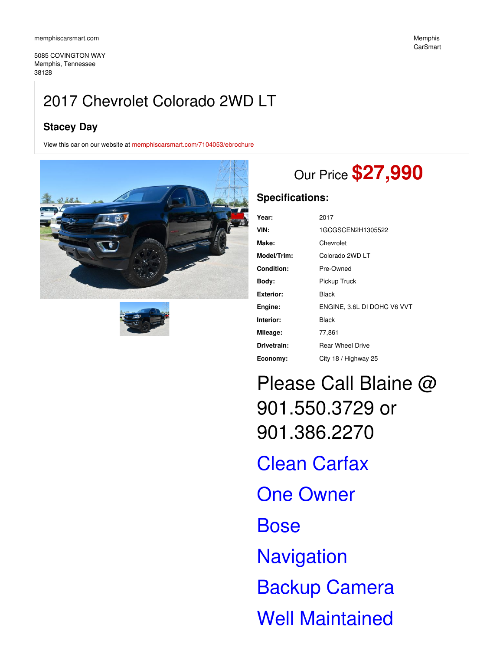5085 COVINGTON WAY Memphis, Tennessee 38128

## **Stacey Day**

View this car on our website at [memphiscarsmart.com/7104053/ebrochure](https://memphiscarsmart.com/vehicle/7104053/2017-chevrolet-colorado-2wd-lt-memphis-tennessee-38128/7104053/ebrochure)





## Our Price **\$27,990**

## **Specifications:**

| Year:            | 2017                        |
|------------------|-----------------------------|
| VIN:             | 1GCGSCEN2H1305522           |
| Make:            | Chevrolet                   |
| Model/Trim:      | Colorado 2WD LT             |
| Condition:       | Pre-Owned                   |
| Body:            | Pickup Truck                |
| <b>Exterior:</b> | Black                       |
| Engine:          | ENGINE, 3.6L DI DOHC V6 VVT |
| Interior:        | Black                       |
| Mileage:         | 77,861                      |
| Drivetrain:      | <b>Rear Wheel Drive</b>     |
| Economy:         | City 18 / Highway 25        |

Please Call Blaine @ 901.550.3729 or 901.386.2270 Clean Carfax One Owner **Bose Navigation** Backup Camera Well Maintained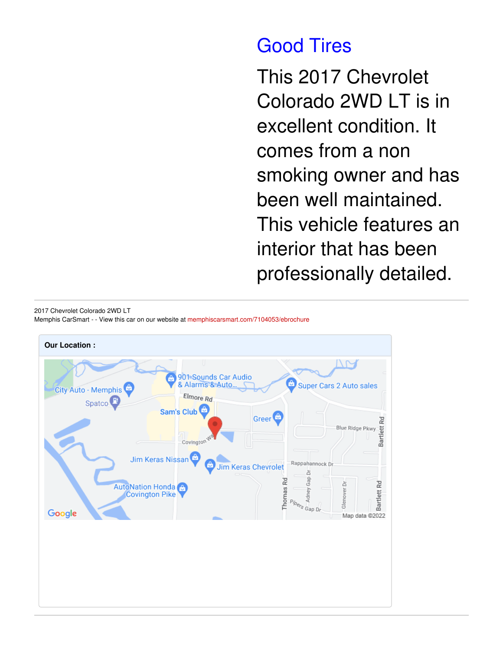# Good Tires

This 2017 Chevrolet Colorado 2WD LT is in excellent condition. It comes from a non smoking owner and has been well maintained. This vehicle features an interior that has been professionally detailed.

2017 Chevrolet Colorado 2WD LT Memphis CarSmart - - View this car on our website at [memphiscarsmart.com/7104053/ebrochure](https://memphiscarsmart.com/vehicle/7104053/2017-chevrolet-colorado-2wd-lt-memphis-tennessee-38128/7104053/ebrochure)

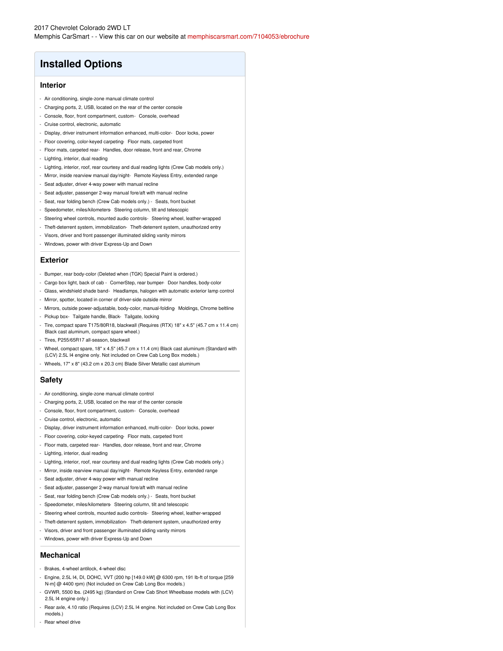## **Installed Options**

#### **Interior**

- Air conditioning, single-zone manual climate control
- Charging ports, 2, USB, located on the rear of the center console
- Console, floor, front compartment, custom- Console, overhead
- Cruise control, electronic, automatic
- Display, driver instrument information enhanced, multi-color- Door locks, power
- Floor covering, color-keyed carpeting- Floor mats, carpeted front
- Floor mats, carpeted rear- Handles, door release, front and rear, Chrome
- Lighting, interior, dual reading
- Lighting, interior, roof, rear courtesy and dual reading lights (Crew Cab models only.)
- Mirror, inside rearview manual day/night- Remote Keyless Entry, extended range
- Seat adjuster, driver 4-way power with manual recline
- Seat adjuster, passenger 2-way manual fore/aft with manual recline
- Seat, rear folding bench (Crew Cab models only.) Seats, front bucket
- Speedometer, miles/kilometers- Steering column, tilt and telescopic
- Steering wheel controls, mounted audio controls- Steering wheel, leather-wrapped
- Theft-deterrent system, immobilization- Theft-deterrent system, unauthorized entry
- Visors, driver and front passenger illuminated sliding vanity mirrors
- Windows, power with driver Express-Up and Down

#### **Exterior**

- Bumper, rear body-color (Deleted when (TGK) Special Paint is ordered.)
- Cargo box light, back of cab CornerStep, rear bumper- Door handles, body-color
- Glass, windshield shade band- Headlamps, halogen with automatic exterior lamp control
- Mirror, spotter, located in corner of driver-side outside mirror
- Mirrors, outside power-adjustable, body-color, manual-folding- Moldings, Chrome beltline
- Pickup box- Tailgate handle, Black- Tailgate, locking
- Tire, compact spare T175/80R18, blackwall (Requires (RTX) 18" x 4.5" (45.7 cm x 11.4 cm) Black cast aluminum, compact spare wheel.)
- Tires, P255/65R17 all-season, blackwall
- Wheel, compact spare, 18" x 4.5" (45.7 cm x 11.4 cm) Black cast aluminum (Standard with (LCV) 2.5L I4 engine only. Not included on Crew Cab Long Box models.)
- Wheels, 17" x 8" (43.2 cm x 20.3 cm) Blade Silver Metallic cast aluminum

### **Safety**

- Air conditioning, single-zone manual climate control
- Charging ports, 2, USB, located on the rear of the center console
- Console, floor, front compartment, custom- Console, overhead
- Cruise control, electronic, automatic
- Display, driver instrument information enhanced, multi-color- Door locks, power
- Floor covering, color-keyed carpeting- Floor mats, carpeted front
- Floor mats, carpeted rear- Handles, door release, front and rear, Chrome
- Lighting, interior, dual reading
- Lighting, interior, roof, rear courtesy and dual reading lights (Crew Cab models only.)
- Mirror, inside rearview manual day/night- Remote Keyless Entry, extended range
- Seat adjuster, driver 4-way power with manual recline
- Seat adjuster, passenger 2-way manual fore/aft with manual recline
- Seat, rear folding bench (Crew Cab models only.) Seats, front bucket
- Speedometer, miles/kilometers- Steering column, tilt and telescopic
- Steering wheel controls, mounted audio controls- Steering wheel, leather-wrapped
- Theft-deterrent system, immobilization- Theft-deterrent system, unauthorized entry
- Visors, driver and front passenger illuminated sliding vanity mirrors
- Windows, power with driver Express-Up and Down

#### **Mechanical**

- Brakes, 4-wheel antilock, 4-wheel disc
- Engine, 2.5L I4, DI, DOHC, VVT (200 hp [149.0 kW] @ 6300 rpm, 191 lb-ft of torque [259 N-m] @ 4400 rpm) (Not included on Crew Cab Long Box models.)
- GVWR, 5500 lbs. (2495 kg) (Standard on Crew Cab Short Wheelbase models with (LCV) 2.5L I4 engine only.)
- Rear axle, 4.10 ratio (Requires (LCV) 2.5L I4 engine. Not included on Crew Cab Long Box models.)
- Rear wheel drive